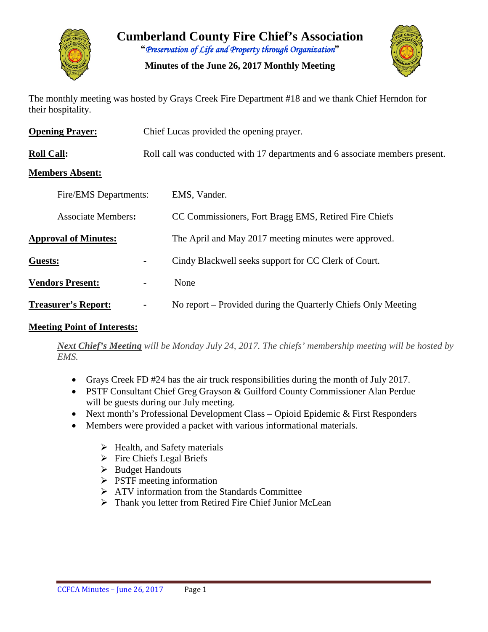

**Cumberland County Fire Chief's Association "***Preservation of Life and Property through Organization***"**

**Minutes of the June 26, 2017 Monthly Meeting**



The monthly meeting was hosted by Grays Creek Fire Department #18 and we thank Chief Herndon for their hospitality.

| <b>Opening Prayer:</b>      | Chief Lucas provided the opening prayer.                                     |                                                               |  |  |  |
|-----------------------------|------------------------------------------------------------------------------|---------------------------------------------------------------|--|--|--|
| <b>Roll Call:</b>           | Roll call was conducted with 17 departments and 6 associate members present. |                                                               |  |  |  |
| <b>Members Absent:</b>      |                                                                              |                                                               |  |  |  |
| Fire/EMS Departments:       |                                                                              | EMS, Vander.                                                  |  |  |  |
| <b>Associate Members:</b>   |                                                                              | CC Commissioners, Fort Bragg EMS, Retired Fire Chiefs         |  |  |  |
| <b>Approval of Minutes:</b> |                                                                              | The April and May 2017 meeting minutes were approved.         |  |  |  |
| Guests:                     |                                                                              | Cindy Blackwell seeks support for CC Clerk of Court.          |  |  |  |
| <b>Vendors Present:</b>     | $\qquad \qquad -$                                                            | None                                                          |  |  |  |
| <b>Treasurer's Report:</b>  | $\blacksquare$                                                               | No report – Provided during the Quarterly Chiefs Only Meeting |  |  |  |

#### **Meeting Point of Interests:**

*Next Chief's Meeting will be Monday July 24, 2017. The chiefs' membership meeting will be hosted by EMS.*

- Grays Creek FD #24 has the air truck responsibilities during the month of July 2017.
- PSTF Consultant Chief Greg Grayson & Guilford County Commissioner Alan Perdue will be guests during our July meeting.
- Next month's Professional Development Class Opioid Epidemic & First Responders
- Members were provided a packet with various informational materials.
	- $\triangleright$  Health, and Safety materials
	- $\triangleright$  Fire Chiefs Legal Briefs
	- $\triangleright$  Budget Handouts
	- $\triangleright$  PSTF meeting information
	- > ATV information from the Standards Committee
	- > Thank you letter from Retired Fire Chief Junior McLean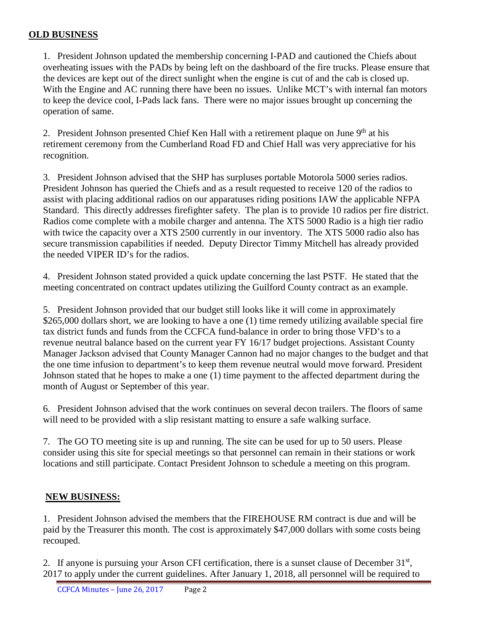#### **OLD BUSINESS**

1. President Johnson updated the membership concerning I-PAD and cautioned the Chiefs about overheating issues with the PADs by being left on the dashboard of the fire trucks. Please ensure that the devices are kept out of the direct sunlight when the engine is cut of and the cab is closed up. With the Engine and AC running there have been no issues. Unlike MCT's with internal fan motors to keep the device cool, I-Pads lack fans. There were no major issues brought up concerning the operation of same.

2. President Johnson presented Chief Ken Hall with a retirement plaque on June  $9<sup>th</sup>$  at his retirement ceremony from the Cumberland Road FD and Chief Hall was very appreciative for his recognition.

3. President Johnson advised that the SHP has surpluses portable Motorola 5000 series radios. President Johnson has queried the Chiefs and as a result requested to receive 120 of the radios to assist with placing additional radios on our apparatuses riding positions IAW the applicable NFPA Standard. This directly addresses firefighter safety. The plan is to provide 10 radios per fire district. Radios come complete with a mobile charger and antenna. The XTS 5000 Radio is a high tier radio with twice the capacity over a XTS 2500 currently in our inventory. The XTS 5000 radio also has secure transmission capabilities if needed. Deputy Director Timmy Mitchell has already provided the needed VIPER ID's for the radios.

4. President Johnson stated provided a quick update concerning the last PSTF. He stated that the meeting concentrated on contract updates utilizing the Guilford County contract as an example.

5. President Johnson provided that our budget still looks like it will come in approximately \$265,000 dollars short, we are looking to have a one (1) time remedy utilizing available special fire tax district funds and funds from the CCFCA fund-balance in order to bring those VFD's to a revenue neutral balance based on the current year FY 16/17 budget projections. Assistant County Manager Jackson advised that County Manager Cannon had no major changes to the budget and that the one time infusion to department's to keep them revenue neutral would move forward. President Johnson stated that he hopes to make a one (1) time payment to the affected department during the month of August or September of this year.

6. President Johnson advised that the work continues on several decon trailers. The floors of same will need to be provided with a slip resistant matting to ensure a safe walking surface.

7. The GO TO meeting site is up and running. The site can be used for up to 50 users. Please consider using this site for special meetings so that personnel can remain in their stations or work locations and still participate. Contact President Johnson to schedule a meeting on this program.

# **NEW BUSINESS:**

1. President Johnson advised the members that the FIREHOUSE RM contract is due and will be paid by the Treasurer this month. The cost is approximately \$47,000 dollars with some costs being recouped.

2. If anyone is pursuing your Arson CFI certification, there is a sunset clause of December 31<sup>st</sup>, 2017 to apply under the current guidelines. After January 1, 2018, all personnel will be required to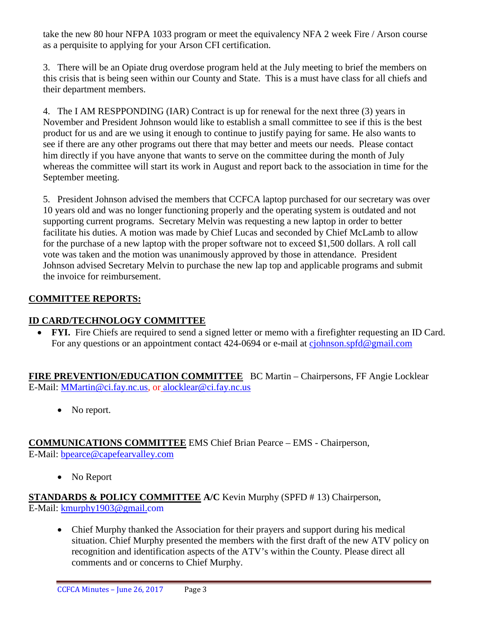take the new 80 hour NFPA 1033 program or meet the equivalency NFA 2 week Fire / Arson course as a perquisite to applying for your Arson CFI certification.

3. There will be an Opiate drug overdose program held at the July meeting to brief the members on this crisis that is being seen within our County and State. This is a must have class for all chiefs and their department members.

4. The I AM RESPPONDING (IAR) Contract is up for renewal for the next three (3) years in November and President Johnson would like to establish a small committee to see if this is the best product for us and are we using it enough to continue to justify paying for same. He also wants to see if there are any other programs out there that may better and meets our needs. Please contact him directly if you have anyone that wants to serve on the committee during the month of July whereas the committee will start its work in August and report back to the association in time for the September meeting.

5. President Johnson advised the members that CCFCA laptop purchased for our secretary was over 10 years old and was no longer functioning properly and the operating system is outdated and not supporting current programs. Secretary Melvin was requesting a new laptop in order to better facilitate his duties. A motion was made by Chief Lucas and seconded by Chief McLamb to allow for the purchase of a new laptop with the proper software not to exceed \$1,500 dollars. A roll call vote was taken and the motion was unanimously approved by those in attendance. President Johnson advised Secretary Melvin to purchase the new lap top and applicable programs and submit the invoice for reimbursement.

# **COMMITTEE REPORTS:**

#### **ID CARD/TECHNOLOGY COMMITTEE**

• **FYI.** Fire Chiefs are required to send a signed letter or memo with a firefighter requesting an ID Card. For any questions or an appointment contact 424-0694 or e-mail at [cjohnson.spfd@gmail.com](mailto:cjohnson.spfd@gmail.com)

**FIRE PREVENTION/EDUCATION COMMITTEE** BC Martin – Chairpersons, FF Angie Locklear E-Mail: [MMartin@ci.fay.nc.us,](mailto:MMartin@ci.fay.nc.us) or [alocklear@ci.fay.nc.us](mailto:alocklear@ci.fay.nc.us)

• No report.

# **COMMUNICATIONS COMMITTEE** EMS Chief Brian Pearce – EMS - Chairperson,

E-Mail: [bpearce@capefearvalley.com](mailto:bpearce@capefearvalley.com)

• No Report

#### **STANDARDS & POLICY COMMITTEE A/C** Kevin Murphy (SPFD # 13) Chairperson, E-Mail: [kmurphy1903@gmail.com](mailto:kmurphy1903@gmail.com)

• Chief Murphy thanked the Association for their prayers and support during his medical situation. Chief Murphy presented the members with the first draft of the new ATV policy on recognition and identification aspects of the ATV's within the County. Please direct all comments and or concerns to Chief Murphy.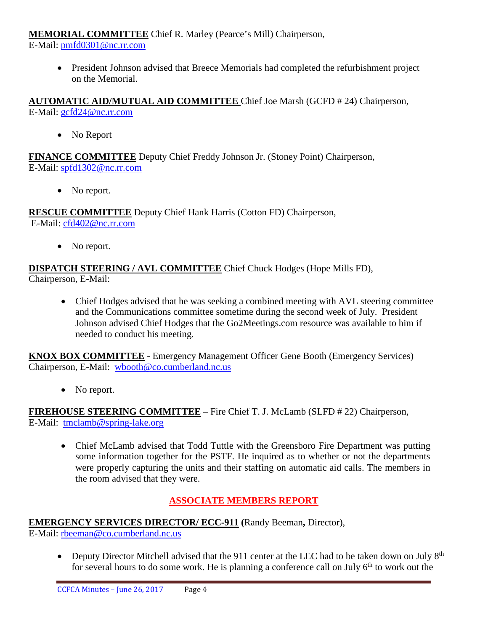#### **MEMORIAL COMMITTEE** Chief R. Marley (Pearce's Mill) Chairperson,

E-Mail: [pmfd0301@nc.rr.com](mailto:pmfd0301@nc.rr.com)

• President Johnson advised that Breece Memorials had completed the refurbishment project on the Memorial.

**AUTOMATIC AID/MUTUAL AID COMMITTEE** Chief Joe Marsh (GCFD # 24) Chairperson, E-Mail: [gcfd24@nc.rr.com](mailto:gcfd24@nc.rr.com)

• No Report

**FINANCE COMMITTEE** Deputy Chief Freddy Johnson Jr. (Stoney Point) Chairperson, E-Mail: [spfd1302@nc.rr.com](mailto:spfd1302@nc.rr.com)

• No report.

**RESCUE COMMITTEE** Deputy Chief Hank Harris (Cotton FD) Chairperson, E-Mail: [cfd402@nc.rr.com](mailto:cfd402@nc.rr.com)

• No report.

**DISPATCH STEERING / AVL COMMITTEE** Chief Chuck Hodges (Hope Mills FD), Chairperson, E-Mail:

• Chief Hodges advised that he was seeking a combined meeting with AVL steering committee and the Communications committee sometime during the second week of July. President Johnson advised Chief Hodges that the Go2Meetings.com resource was available to him if needed to conduct his meeting.

**KNOX BOX COMMITTEE** - Emergency Management Officer Gene Booth (Emergency Services) Chairperson, E-Mail: [wbooth@co.cumberland.nc.us](mailto:wbooth@co.cumberland.nc.us)

• No report.

**FIREHOUSE STEERING COMMITTEE** – Fire Chief T. J. McLamb (SLFD # 22) Chairperson, E-Mail: [tmclamb@spring-lake.org](mailto:tmclamb@spring-lake.org)

• Chief McLamb advised that Todd Tuttle with the Greensboro Fire Department was putting some information together for the PSTF. He inquired as to whether or not the departments were properly capturing the units and their staffing on automatic aid calls. The members in the room advised that they were.

# **ASSOCIATE MEMBERS REPORT**

# **EMERGENCY SERVICES DIRECTOR/ ECC-911 (**Randy Beeman**,** Director),

E-Mail: [rbeeman@co.cumberland.nc.us](mailto:rbeeman@co.cumberland.nc.us)

• Deputy Director Mitchell advised that the 911 center at the LEC had to be taken down on July  $8<sup>th</sup>$ for several hours to do some work. He is planning a conference call on July  $6<sup>th</sup>$  to work out the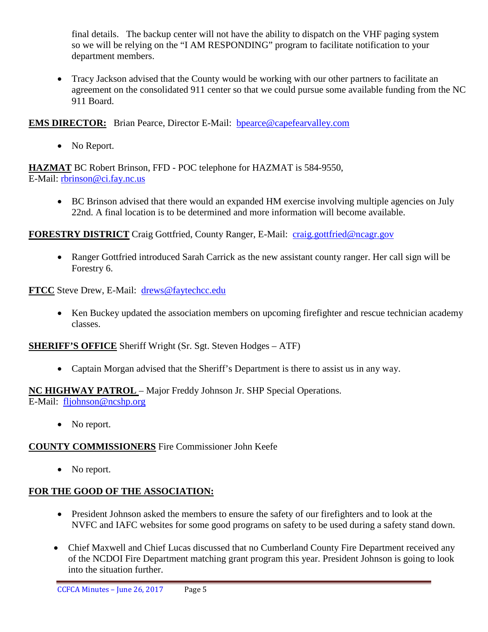final details. The backup center will not have the ability to dispatch on the VHF paging system so we will be relying on the "I AM RESPONDING" program to facilitate notification to your department members.

• Tracy Jackson advised that the County would be working with our other partners to facilitate an agreement on the consolidated 911 center so that we could pursue some available funding from the NC 911 Board.

**EMS DIRECTOR:** Brian Pearce, Director E-Mail: bpearce@capefearvalley.com

• No Report.

**HAZMAT** BC Robert Brinson, FFD - POC telephone for HAZMAT is 584-9550, E-Mail: [rbrinson@ci.fay.nc.us](mailto:rbrinson@ci.fay.nc.us)

• BC Brinson advised that there would an expanded HM exercise involving multiple agencies on July 22nd. A final location is to be determined and more information will become available.

**FORESTRY DISTRICT** Craig Gottfried, County Ranger, E-Mail: [craig.gottfried@ncagr.gov](mailto:craig.gottfried@ncagr.gov)

• Ranger Gottfried introduced Sarah Carrick as the new assistant county ranger. Her call sign will be Forestry 6.

**FTCC** Steve Drew, E-Mail: [drews@faytechcc.edu](mailto:drews@faytechcc.edu)

• Ken Buckey updated the association members on upcoming firefighter and rescue technician academy classes.

**SHERIFF'S OFFICE** Sheriff Wright (Sr. Sgt. Steven Hodges – ATF)

• Captain Morgan advised that the Sheriff's Department is there to assist us in any way.

# **NC HIGHWAY PATROL** – Major Freddy Johnson Jr. SHP Special Operations.

E-Mail: [fljohnson@ncshp.org](mailto:fljohnson@ncshp.org)

• No report.

# **COUNTY COMMISSIONERS** Fire Commissioner John Keefe

• No report.

# **FOR THE GOOD OF THE ASSOCIATION:**

- President Johnson asked the members to ensure the safety of our firefighters and to look at the NVFC and IAFC websites for some good programs on safety to be used during a safety stand down.
- Chief Maxwell and Chief Lucas discussed that no Cumberland County Fire Department received any of the NCDOI Fire Department matching grant program this year. President Johnson is going to look into the situation further.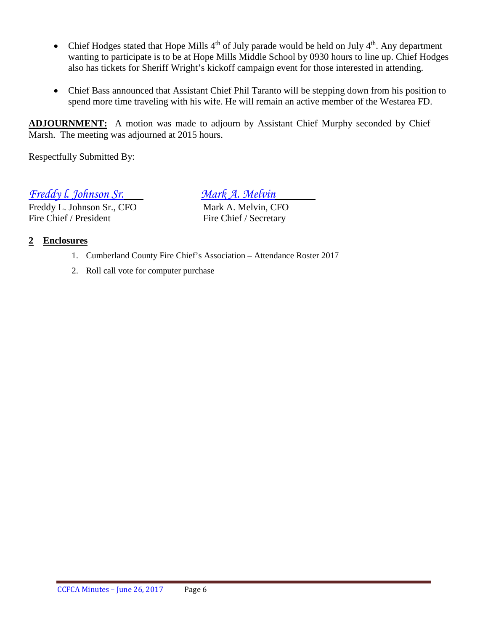- Chief Hodges stated that Hope Mills  $4<sup>th</sup>$  of July parade would be held on July  $4<sup>th</sup>$ . Any department wanting to participate is to be at Hope Mills Middle School by 0930 hours to line up. Chief Hodges also has tickets for Sheriff Wright's kickoff campaign event for those interested in attending.
- Chief Bass announced that Assistant Chief Phil Taranto will be stepping down from his position to spend more time traveling with his wife. He will remain an active member of the Westarea FD.

**ADJOURNMENT:** A motion was made to adjourn by Assistant Chief Murphy seconded by Chief Marsh. The meeting was adjourned at 2015 hours.

Respectfully Submitted By:

*Freddy l. Johnson Sr. Mark A. Melvin*

Freddy L. Johnson Sr., CFO Mark A. Melvin, CFO Fire Chief / President Fire Chief / Secretary

#### **2 Enclosures**

- 1. Cumberland County Fire Chief's Association Attendance Roster 2017
- 2. Roll call vote for computer purchase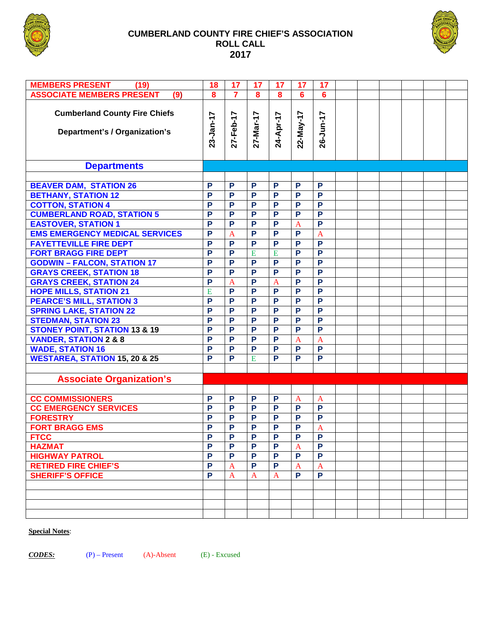

#### **CUMBERLAND COUNTY FIRE CHIEF'S ASSOCIATION ROLL CALL 2017**



| <b>MEMBERS PRESENT</b><br>(19)                                        | 18                      | 17             | 17                      | 17                      | 17              | 17              |  |  |  |
|-----------------------------------------------------------------------|-------------------------|----------------|-------------------------|-------------------------|-----------------|-----------------|--|--|--|
| <b>ASSOCIATE MEMBERS PRESENT</b><br>(9)                               | $\overline{\mathbf{8}}$ | $\overline{7}$ | $\overline{\mathbf{8}}$ | $\overline{\mathbf{8}}$ | $6\overline{6}$ | $6\phantom{1}6$ |  |  |  |
|                                                                       |                         |                |                         |                         |                 |                 |  |  |  |
| <b>Cumberland County Fire Chiefs</b><br>Department's / Organization's | 23-Jan-17               | 27-Feb-17      | 27-Mar-17               | 24-Apr-17               | 22-May-17       | 26-Jun-17       |  |  |  |
| <b>Departments</b>                                                    |                         |                |                         |                         |                 |                 |  |  |  |
|                                                                       |                         |                |                         |                         |                 |                 |  |  |  |
| <b>BEAVER DAM, STATION 26</b>                                         | P                       | P              | P                       | P                       | P               | P               |  |  |  |
| <b>BETHANY, STATION 12</b>                                            | P                       | P              | $\overline{P}$          | $\overline{P}$          | $\overline{P}$  | $\overline{P}$  |  |  |  |
| <b>COTTON, STATION 4</b>                                              | $\overline{P}$          | P              | $\overline{P}$          | $\overline{P}$          | $\overline{P}$  | $\overline{P}$  |  |  |  |
| <b>CUMBERLAND ROAD, STATION 5</b>                                     | $\overline{P}$          | P              | $\overline{P}$          | P                       | $\overline{P}$  | $\overline{P}$  |  |  |  |
| <b>EASTOVER, STATION 1</b>                                            | P                       | P              | P                       | P                       | $\overline{A}$  | $\overline{P}$  |  |  |  |
| <b>EMS EMERGENCY MEDICAL SERVICES</b>                                 | P                       | $\overline{A}$ | P                       | P                       | $\overline{P}$  | $\overline{A}$  |  |  |  |
|                                                                       | P                       | P              | $\overline{P}$          | $\overline{P}$          | $\overline{P}$  | $\overline{P}$  |  |  |  |
| <b>FAYETTEVILLE FIRE DEPT</b>                                         |                         |                |                         |                         |                 | $\overline{P}$  |  |  |  |
| <b>FORT BRAGG FIRE DEPT</b>                                           | P                       | P              | $\overline{E}$          | E                       | $\overline{P}$  |                 |  |  |  |
| <b>GODWIN - FALCON, STATION 17</b>                                    | $\overline{P}$          | P              | $\overline{P}$          | $\overline{P}$          | $\overline{P}$  | $\overline{P}$  |  |  |  |
| <b>GRAYS CREEK, STATION 18</b>                                        | $\overline{P}$          | P              | $\overline{P}$          | $\overline{P}$          | P               | $\overline{P}$  |  |  |  |
| <b>GRAYS CREEK, STATION 24</b>                                        | $\overline{P}$          | $\overline{A}$ | $\overline{P}$          | $\overline{A}$          | $\overline{P}$  | $\overline{P}$  |  |  |  |
| <b>HOPE MILLS, STATION 21</b>                                         | E                       | P              | $\overline{P}$          | $\overline{P}$          | $\overline{P}$  | $\overline{P}$  |  |  |  |
| <b>PEARCE'S MILL, STATION 3</b>                                       | $\overline{P}$          | $\overline{P}$ | $\overline{P}$          | $\overline{P}$          | $\overline{P}$  | $\overline{P}$  |  |  |  |
| <b>SPRING LAKE, STATION 22</b>                                        | P                       | P              | $\overline{P}$          | $\overline{P}$          | P               | $\overline{P}$  |  |  |  |
| <b>STEDMAN, STATION 23</b>                                            | $\overline{P}$          | P              | $\overline{P}$          | $\overline{P}$          | P               | $\overline{P}$  |  |  |  |
| <b>STONEY POINT, STATION 13 &amp; 19</b>                              | $\overline{P}$          | P              | $\overline{P}$          | $\overline{P}$          | P               | $\overline{P}$  |  |  |  |
| <b>VANDER, STATION 2 &amp; 8</b>                                      | $\overline{P}$          | P              | $\overline{P}$          | P                       | $\overline{A}$  | $\overline{A}$  |  |  |  |
| <b>WADE, STATION 16</b>                                               | $\overline{P}$          | P              | $\overline{P}$          | $\overline{P}$          | $\overline{P}$  | $\overline{P}$  |  |  |  |
| <b>WESTAREA, STATION 15, 20 &amp; 25</b>                              | P                       | P              | E                       | $\overline{P}$          | P               | $\overline{P}$  |  |  |  |
|                                                                       |                         |                |                         |                         |                 |                 |  |  |  |
| <b>Associate Organization's</b>                                       |                         |                |                         |                         |                 |                 |  |  |  |
|                                                                       |                         |                |                         |                         |                 |                 |  |  |  |
| <b>CC COMMISSIONERS</b>                                               | P                       | P              | P                       | P                       | A               | $\mathbf{A}$    |  |  |  |
| <b>CC EMERGENCY SERVICES</b>                                          | P                       | P              | P                       | P                       | P               | P               |  |  |  |
| <b>FORESTRY</b>                                                       | P                       | P              | P                       | P                       | $\overline{P}$  | $\overline{P}$  |  |  |  |
| <b>FORT BRAGG EMS</b>                                                 | P                       | P              | $\overline{P}$          | $\overline{P}$          | P               | $\overline{A}$  |  |  |  |
| <b>FTCC</b>                                                           | P                       | P              |                         | P                       | P               | P               |  |  |  |
| <b>HAZMAT</b>                                                         | P                       | P              | P                       | P                       | A               | P               |  |  |  |
| <b>HIGHWAY PATROL</b>                                                 | P                       | P              | P                       | P                       | P               | P               |  |  |  |
| <b>RETIRED FIRE CHIEF'S</b>                                           | P                       | A              | P                       | P                       | A               | A               |  |  |  |
| <b>SHERIFF'S OFFICE</b>                                               | P                       | $\mathbf{A}$   | A                       | $\mathbf{A}$            | P               | P               |  |  |  |
|                                                                       |                         |                |                         |                         |                 |                 |  |  |  |
|                                                                       |                         |                |                         |                         |                 |                 |  |  |  |
|                                                                       |                         |                |                         |                         |                 |                 |  |  |  |
|                                                                       |                         |                |                         |                         |                 |                 |  |  |  |

#### **Special Notes**:

*CODES:* (P) – Present (A)-Absent (E) - Excused